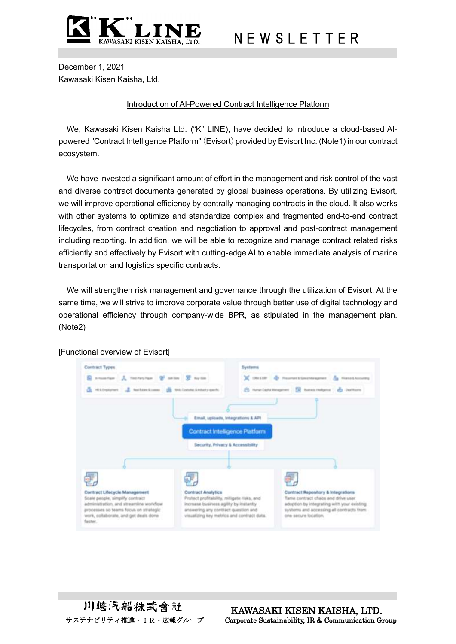

## N E W S L E T T E R

December 1, 2021 Kawasaki Kisen Kaisha, Ltd.

## Introduction of AI-Powered Contract Intelligence Platform

We, Kawasaki Kisen Kaisha Ltd. ("K" LINE), have decided to introduce a cloud-based AIpowered "Contract Intelligence Platform" (Evisort) provided by Evisort Inc. (Note1) in our contract ecosystem.

We have invested a significant amount of effort in the management and risk control of the vast and diverse contract documents generated by global business operations. By utilizing Evisort, we will improve operational efficiency by centrally managing contracts in the cloud. It also works with other systems to optimize and standardize complex and fragmented end-to-end contract lifecycles, from contract creation and negotiation to approval and post-contract management including reporting. In addition, we will be able to recognize and manage contract related risks efficiently and effectively by Evisort with cutting-edge AI to enable immediate analysis of marine transportation and logistics specific contracts.

We will strengthen risk management and governance through the utilization of Evisort. At the same time, we will strive to improve corporate value through better use of digital technology and operational efficiency through company-wide BPR, as stipulated in the management plan. (Note2)



[Functional overview of Evisort]

川崎汽船抹式會社

 KAWASAKI KISEN KAISHA, LTD. サステナビリティ推進・IR・広報グループ Corporate Sustainability, IR & Communication Group